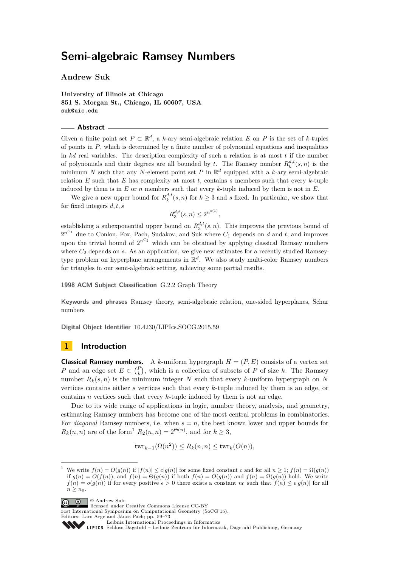**Andrew Suk**

**University of Illinois at Chicago 851 S. Morgan St., Chicago, IL 60607, USA suk@uic.edu**

#### **Abstract**

Given a finite point set  $P \subset \mathbb{R}^d$ , a *k*-ary semi-algebraic relation *E* on *P* is the set of *k*-tuples of points in *P*, which is determined by a finite number of polynomial equations and inequalities in  $kd$  real variables. The description complexity of such a relation is at most  $t$  if the number of polynomials and their degrees are all bounded by *t*. The Ramsey number  $R_k^{d,t}(s,n)$  is the minimum *N* such that any *N*-element point set *P* in  $\mathbb{R}^d$  equipped with a *k*-ary semi-algebraic relation  $E$  such that  $E$  has complexity at most  $t$ , contains  $s$  members such that every  $k$ -tuple induced by them is in *E* or *n* members such that every *k*-tuple induced by them is not in *E*.

We give a new upper bound for  $R_k^{d,t}(s,n)$  for  $k \geq 3$  and *s* fixed. In particular, we show that for fixed integers *d, t, s*

 $R_3^{d,t}(s,n) \leq 2^{n^{o(1)}},$ 

establishing a subexponential upper bound on  $R_3^{d,t}(s,n)$ . This improves the previous bound of  $2^{n^{C_1}}$  due to Conlon, Fox, Pach, Sudakov, and Suk where  $C_1$  depends on *d* and *t*, and improves upon the trivial bound of  $2^{n^C2}$  which can be obtained by applying classical Ramsey numbers where  $C_2$  depends on  $s$ . As an application, we give new estimates for a recently studied Ramseytype problem on hyperplane arrangements in R *d* . We also study multi-color Ramsey numbers for triangles in our semi-algebraic setting, achieving some partial results.

**1998 ACM Subject Classification** G.2.2 Graph Theory

**Keywords and phrases** Ramsey theory, semi-algebraic relation, one-sided hyperplanes, Schur numbers

**Digital Object Identifier** [10.4230/LIPIcs.SOCG.2015.59](http://dx.doi.org/10.4230/LIPIcs.SOCG.2015.59)

## **1 Introduction**

**Classical Ramsey numbers.** A *k*-uniform hypergraph  $H = (P, E)$  consists of a vertex set *P* and an edge set  $E \subset {P \choose k}$ , which is a collection of subsets of *P* of size *k*. The Ramsey number  $R_k(s, n)$  is the minimum integer *N* such that every *k*-uniform hypergraph on *N* vertices contains either *s* vertices such that every *k*-tuple induced by them is an edge, or contains *n* vertices such that every *k*-tuple induced by them is not an edge.

Due to its wide range of applications in logic, number theory, analysis, and geometry, estimating Ramsey numbers has become one of the most central problems in combinatorics. For *diagonal* Ramsey numbers, i.e. when *s* = *n*, the best known lower and upper bounds for  $R_k(n, n)$  are of the form<sup>[1](#page-0-0)</sup>  $R_2(n, n) = 2^{\Theta(n)}$ , and for  $k \geq 3$ ,

$$
twr_{k-1}(\Omega(n^2)) \le R_k(n, n) \le twr_k(O(n)),
$$

<span id="page-0-0"></span>We write  $f(n) = O(g(n))$  if  $|f(n)| \le c|g(n)|$  for some fixed constant *c* and for all  $n \ge 1$ ;  $f(n) = \Omega(q(n))$ if  $g(n) = O(f(n))$ ; and  $f(n) = \Theta(g(n))$  if both  $f(n) = O(g(n))$  and  $f(n) = \Omega(g(n))$  hold. We write  $f(n) = o(g(n))$  if for every positive  $\epsilon > 0$  there exists a constant  $n_0$  such that  $f(n) \leq \epsilon |g(n)|$  for all  $n \geq n_0$ .



© Andrew Suk; licensed under Creative Commons License CC-BY

31st International Symposium on Computational Geometry (SoCG'15).

SCHLOSS Dagstuhl – Leibniz-Zentrum für Informatik, Dagstuhl Publishing, Germany

Editors: Lars Arge and János Pach; pp. 59[–73](#page-14-0)

[Leibniz International Proceedings in Informatics](http://www.dagstuhl.de/lipics/)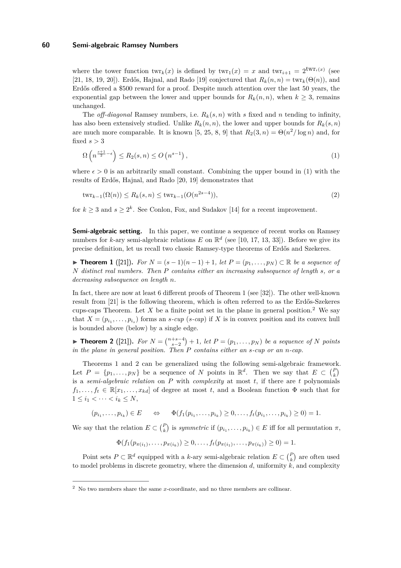where the tower function  $\textrm{twr}_k(x)$  is defined by  $\textrm{twr}_1(x) = x$  and  $\textrm{twr}_{i+1} = 2^{\textrm{twr}_i(x)}$  (see [\[21,](#page-14-1) [18,](#page-13-0) [19,](#page-13-1) [20\]](#page-14-2)). Erdős, Hajnal, and Rado [\[19\]](#page-13-1) conjectured that  $R_k(n,n) = \text{twr}_k(\Theta(n))$ , and Erdős offered a \$500 reward for a proof. Despite much attention over the last 50 years, the exponential gap between the lower and upper bounds for  $R_k(n,n)$ , when  $k \geq 3$ , remains unchanged.

The *off-diagonal* Ramsey numbers, i.e.  $R_k(s, n)$  with *s* fixed and *n* tending to infinity, has also been extensively studied. Unlike  $R_k(n, n)$ , the lower and upper bounds for  $R_k(s, n)$ are much more comparable. It is known [\[5,](#page-13-2) [25,](#page-14-3) [8,](#page-13-3) [9\]](#page-13-4) that  $R_2(3, n) = \Theta(n^2/\log n)$  and, for fixed *s >* 3

<span id="page-1-0"></span>
$$
\Omega\left(n^{\frac{s+1}{2}-\epsilon}\right) \le R_2(s,n) \le O\left(n^{s-1}\right),\tag{1}
$$

where  $\epsilon > 0$  is an arbitrarily small constant. Combining the upper bound in [\(1\)](#page-1-0) with the results of Erdős, Hajnal, and Rado [\[20,](#page-14-2) [19\]](#page-13-1) demonstrates that

$$
twr_{k-1}(\Omega(n)) \le R_k(s, n) \le twr_{k-1}(O(n^{2s-4})),
$$
\n(2)

for  $k \geq 3$  and  $s \geq 2^k$ . See Conlon, Fox, and Sudakov [\[14\]](#page-13-5) for a recent improvement.

**Semi-algebraic setting.** In this paper, we continue a sequence of recent works on Ramsey numbers for *k*-ary semi-algebraic relations  $E$  on  $\mathbb{R}^d$  (see [\[10,](#page-13-6) [17,](#page-13-7) [13,](#page-13-8) [33\]](#page-14-4)). Before we give its precise definition, let us recall two classic Ramsey-type theorems of Erdős and Szekeres.

<span id="page-1-1"></span>**► Theorem 1** ([\[21\]](#page-14-1)). For  $N = (s - 1)(n - 1) + 1$ , let  $P = (p_1, \ldots, p_N) \subset \mathbb{R}$  be a sequence of *N distinct real numbers. Then P contains either an increasing subsequence of length s, or a decreasing subsequence on length n.*

In fact, there are now at least 6 different proofs of Theorem [1](#page-1-1) (see [\[32\]](#page-14-5)). The other well-known result from [\[21\]](#page-14-1) is the following theorem, which is often referred to as the Erdős-Szekeres cups-caps Theorem. Let  $X$  be a finite point set in the plane in general position.<sup>[2](#page-1-2)</sup> We say that  $X = (p_{i_1}, \ldots, p_{i_s})$  forms an *s*-*cup* (*s*-*cap*) if *X* is in convex position and its convex hull is bounded above (below) by a single edge.

<span id="page-1-3"></span>▶ **Theorem 2** ([\[21\]](#page-14-1)). For  $N = \binom{n+s-4}{s-2} + 1$ , let  $P = (p_1, \ldots, p_N)$  be a sequence of *N* points *in the plane in general position. Then P contains either an s-cup or an n-cap.*

Theorems [1](#page-1-1) and [2](#page-1-3) can be generalized using the following semi-algebraic framework. Let  $P = \{p_1, \ldots, p_N\}$  be a sequence of *N* points in  $\mathbb{R}^d$ . Then we say that  $E \subset {P \choose k}$ is a *semi-algebraic relation* on *P* with *complexity* at most *t*, if there are *t* polynomials  $f_1, \ldots, f_t \in \mathbb{R}[x_1, \ldots, x_{kd}]$  of degree at most *t*, and a Boolean function  $\Phi$  such that for  $1 \leq i_1 < \cdots < i_k \leq N,$ 

$$
(p_{i_1},..., p_{i_k}) \in E \Leftrightarrow \Phi(f_1(p_{i_1},..., p_{i_k}) \ge 0,..., f_t(p_{i_1},..., p_{i_k}) \ge 0) = 1.
$$

We say that the relation  $E \subset {P \choose k}$  is *symmetric* if  $(p_{i_1}, \ldots, p_{i_k}) \in E$  iff for all permutation  $\pi$ ,

$$
\Phi(f_1(p_{\pi(i_1)},\ldots,p_{\pi(i_k)})\geq 0,\ldots,f_t(p_{\pi(i_1)},\ldots,p_{\pi(i_k)})\geq 0)=1.
$$

Point sets  $P \subset \mathbb{R}^d$  equipped with a *k*-ary semi-algebraic relation  $E \subset {P \choose k}$  are often used to model problems in discrete geometry, where the dimension  $d$ , uniformity  $k$ , and complexity

<span id="page-1-2"></span><sup>2</sup> No two members share the same *x*-coordinate, and no three members are collinear.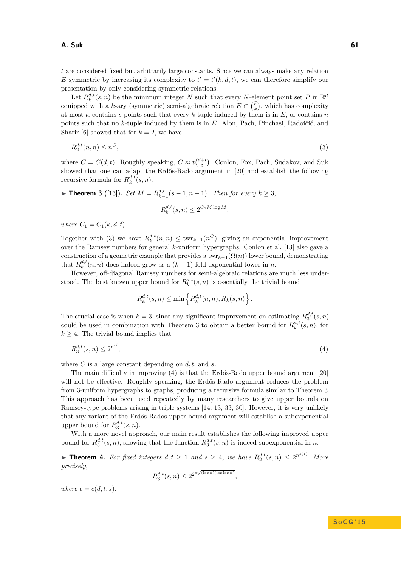*t* are considered fixed but arbitrarily large constants. Since we can always make any relation *E* symmetric by increasing its complexity to  $t' = t'(k, d, t)$ , we can therefore simplify our presentation by only considering symmetric relations.

Let  $R_k^{d,t}(s, n)$  be the minimum integer *N* such that every *N*-element point set *P* in  $\mathbb{R}^d$ equipped with a *k*-ary (symmetric) semi-algebraic relation  $E \subset {P \choose k}$ , which has complexity at most *t*, contains *s* points such that every *k*-tuple induced by them is in *E*, or contains *n* points such that no *k*-tuple induced by them is in *E*. Alon, Pach, Pinchasi, Radoičić, and Sharir [\[6\]](#page-13-9) showed that for  $k = 2$ , we have

$$
R_2^{d,t}(n,n) \le n^C,\tag{3}
$$

where  $C = C(d, t)$ . Roughly speaking,  $C \approx t\binom{d+t}{t}$ . Conlon, Fox, Pach, Sudakov, and Suk showed that one can adapt the Erdős-Rado argument in [\[20\]](#page-14-2) and establish the following recursive formula for  $R_k^{d,t}(s,n)$ .

<span id="page-2-1"></span>▶ **Theorem 3** ([\[13\]](#page-13-8)). *Set*  $M = R_{k-1}^{d,t}(s-1, n-1)$ *. Then for every*  $k ≥ 3$ *,* 

<span id="page-2-0"></span>
$$
R_k^{d,t}(s,n) \le 2^{C_1 M \log M},
$$

*where*  $C_1 = C_1(k, d, t)$ *.* 

Together with [\(3\)](#page-2-0) we have  $R_k^{d,t}(n,n) \leq \text{twr}_{k-1}(n^C)$ , giving an exponential improvement over the Ramsey numbers for general *k*-uniform hypergraphs. Conlon et al. [\[13\]](#page-13-8) also gave a construction of a geometric example that provides a  $\text{twr}_{k-1}(\Omega(n))$  lower bound, demonstrating that  $R_k^{d,t}(n, n)$  does indeed grow as a  $(k-1)$ -fold exponential tower in *n*.

However, off-diagonal Ramsey numbers for semi-algebraic relations are much less understood. The best known upper bound for  $R_k^{d,t}(s, n)$  is essentially the trivial bound

<span id="page-2-2"></span>
$$
R_k^{d,t}(s,n) \le \min\left\{ R_k^{d,t}(n,n), R_k(s,n) \right\}.
$$

The crucial case is when  $k = 3$ , since any significant improvement on estimating  $R_3^{d,t}(s,n)$ could be used in combination with Theorem [3](#page-2-1) to obtain a better bound for  $R_k^{d,t}(s,n)$ , for  $k \geq 4$ . The trivial bound implies that

$$
R_3^{d,t}(s,n) \le 2^{n^C},\tag{4}
$$

where *C* is a large constant depending on *d, t,* and *s*.

The main difficulty in improving [\(4\)](#page-2-2) is that the Erdős-Rado upper bound argument [\[20\]](#page-14-2) will not be effective. Roughly speaking, the Erdős-Rado argument reduces the problem from 3-uniform hypergraphs to graphs, producing a recursive formula similar to Theorem [3.](#page-2-1) This approach has been used repeatedly by many researchers to give upper bounds on Ramsey-type problems arising in triple systems [\[14,](#page-13-5) [13,](#page-13-8) [33,](#page-14-4) [30\]](#page-14-6). However, it is very unlikely that any variant of the Erdős-Rados upper bound argument will establish a subexponential upper bound for  $R_3^{d,t}(s,n)$ .

With a more novel approach, our main result establishes the following improved upper bound for  $R_3^{d,t}(s,n)$ , showing that the function  $R_3^{d,t}(s,n)$  is indeed subexponential in *n*.

<span id="page-2-3"></span>▶ **Theorem 4.** For fixed integers  $d, t \ge 1$  and  $s \ge 4$ , we have  $R_3^{d,t}(s,n) \le 2^{n^{\circ(1)}}$ . More *precisely,*

$$
R^{d,t}_3(s,n) \leq 2^{2^{c\sqrt{(\log n)(\log\log n)}}},
$$

*where*  $c = c(d, t, s)$ *.*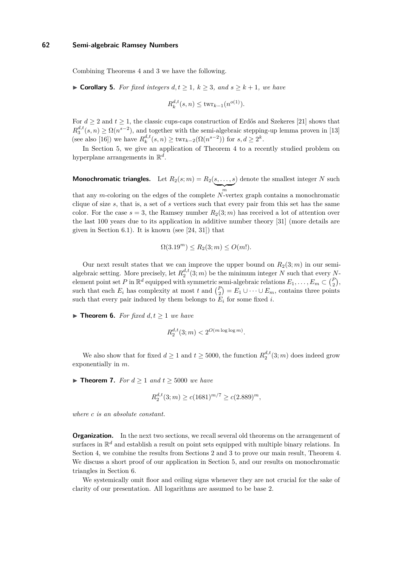Combining Theorems [4](#page-2-3) and [3](#page-2-1) we have the following.

<span id="page-3-0"></span>▶ **Corollary 5.** *For fixed integers*  $d, t \ge 1, k \ge 3$ *, and*  $s \ge k + 1$ *, we have* 

$$
R_k^{d,t}(s,n) \le \text{twr}_{k-1}(n^{o(1)}).
$$

For  $d \geq 2$  and  $t \geq 1$ , the classic cups-caps construction of Erdős and Szekeres [\[21\]](#page-14-1) shows that  $R_3^{d,t}(s,n) \geq \Omega(n^{s-2})$ , and together with the semi-algebraic stepping-up lemma proven in [\[13\]](#page-13-8) (see also [\[16\]](#page-13-10)) we have  $R_k^{d,t}(s, n) \ge \text{twr}_{k-2}(\Omega(n^{s-2}))$  for  $s, d \ge 2^k$ .

In Section [5,](#page-10-0) we give an application of Theorem [4](#page-2-3) to a recently studied problem on hyperplane arrangements in R *d* .

**Monochromatic triangles.** Let  $R_2(s;m) = R_2(s,\ldots,s)$  $\sum_{m}$ ) denote the smallest integer *N* such that any *m*-coloring on the edges of the complete *N*-vertex graph contains a monochromatic clique of size *s*, that is, a set of *s* vertices such that every pair from this set has the same color. For the case  $s = 3$ , the Ramsey number  $R_2(3; m)$  has received a lot of attention over the last 100 years due to its application in additive number theory [\[31\]](#page-14-7) (more details are given in Section [6.1\)](#page-12-0). It is known (see [\[24,](#page-14-8) [31\]](#page-14-7)) that

$$
\Omega(3.19m) \le R_2(3; m) \le O(m!).
$$

Our next result states that we can improve the upper bound on  $R_2(3; m)$  in our semialgebraic setting. More precisely, let  $R_2^{d,t}(3;m)$  be the minimum integer *N* such that every *N*element point set *P* in  $\mathbb{R}^d$  equipped with symmetric semi-algebraic relations  $E_1, \ldots, E_m \subset {P \choose 2}$ , such that each  $E_i$  has complexity at most  $t$  and  $\binom{P}{2} = E_1 \cup \cdots \cup E_m$ , contains three points such that every pair induced by them belongs to  $E_i$  for some fixed *i*.

<span id="page-3-1"></span>▶ **Theorem 6.** *For fixed*  $d, t > 1$  *we have* 

$$
R_2^{d,t}(3;m) < 2^{O(m \log \log m)}.
$$

We also show that for fixed  $d \geq 1$  and  $t \geq 5000$ , the function  $R_2^{d,t}(3;m)$  does indeed grow exponentially in *m*.

<span id="page-3-2"></span>▶ **Theorem 7.** *For*  $d > 1$  *and*  $t > 5000$  *we have* 

$$
R_2^{d,t}(3;m) \ge c(1681)^{m/7} \ge c(2.889)^m,
$$

*where c is an absolute constant.*

**Organization.** In the next two sections, we recall several old theorems on the arrangement of surfaces in  $\mathbb{R}^d$  and establish a result on point sets equipped with multiple binary relations. In Section [4,](#page-7-0) we combine the results from Sections [2](#page-4-0) and [3](#page-6-0) to prove our main result, Theorem [4.](#page-2-3) We discuss a short proof of our application in Section [5,](#page-10-0) and our results on monochromatic triangles in Section [6.](#page-11-0)

We systemically omit floor and ceiling signs whenever they are not crucial for the sake of clarity of our presentation. All logarithms are assumed to be base 2.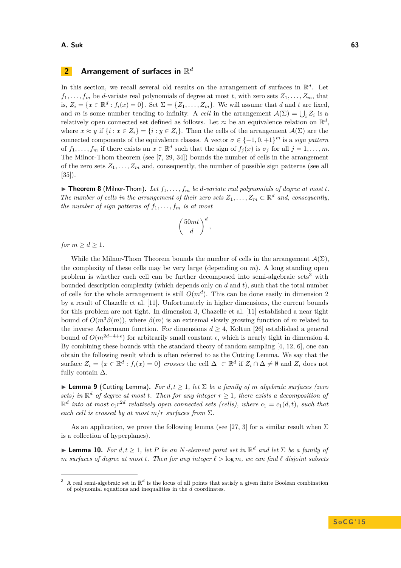#### **A. Suk 63**

# <span id="page-4-0"></span>**2** Arrangement of surfaces in  $\mathbb{R}^d$

In this section, we recall several old results on the arrangement of surfaces in  $\mathbb{R}^d$ . Let  $f_1, \ldots, f_m$  be *d*-variate real polynomials of degree at most *t*, with zero sets  $Z_1, \ldots, Z_m$ , that is,  $Z_i = \{x \in \mathbb{R}^d : f_i(x) = 0\}$ . Set  $\Sigma = \{Z_1, \ldots, Z_m\}$ . We will assume that *d* and *t* are fixed, and *m* is some number tending to infinity. A *cell* in the arrangement  $\mathcal{A}(\Sigma) = \bigcup_i Z_i$  is a relatively open connected set defined as follows. Let  $\approx$  be an equivalence relation on  $\mathbb{R}^d$ , where  $x \approx y$  if  $\{i : x \in Z_i\} = \{i : y \in Z_i\}$ . Then the cells of the arrangement  $\mathcal{A}(\Sigma)$  are the connected components of the equivalence classes. A vector  $\sigma \in \{-1,0,+1\}^m$  is a *sign pattern* of  $f_1, \ldots, f_m$  if there exists an  $x \in \mathbb{R}^d$  such that the sign of  $f_j(x)$  is  $\sigma_j$  for all  $j = 1, \ldots, m$ . The Milnor-Thom theorem (see [\[7,](#page-13-11) [29,](#page-14-9) [34\]](#page-14-10)) bounds the number of cells in the arrangement of the zero sets  $Z_1, \ldots, Z_m$  and, consequently, the number of possible sign patterns (see all [\[35\]](#page-14-11)).

<span id="page-4-3"></span> $\triangleright$  **Theorem 8** (Milnor-Thom). Let  $f_1, \ldots, f_m$  be *d*-variate real polynomials of degree at most *t*. *The number of cells in the arrangement of their zero sets*  $Z_1, \ldots, Z_m \subset \mathbb{R}^d$  *and, consequently, the number of sign patterns of*  $f_1, \ldots, f_m$  *is at most* 

$$
\left(\frac{50mt}{d}\right)^d,
$$

*for*  $m \geq d \geq 1$ *.* 

While the Milnor-Thom Theorem bounds the number of cells in the arrangement  $\mathcal{A}(\Sigma)$ , the complexity of these cells may be very large (depending on *m*). A long standing open problem is whether each cell can be further decomposed into semi-algebraic sets<sup>[3](#page-4-1)</sup> with bounded description complexity (which depends only on *d* and *t*), such that the total number of cells for the whole arrangement is still  $O(m^d)$ . This can be done easily in dimension 2 by a result of Chazelle et al. [\[11\]](#page-13-12). Unfortunately in higher dimensions, the current bounds for this problem are not tight. In dimension 3, Chazelle et al. [\[11\]](#page-13-12) established a near tight bound of  $O(m^3\beta(m))$ , where  $\beta(m)$  is an extremal slowly growing function of *m* related to the inverse Ackermann function. For dimensions  $d \geq 4$ , Koltun [\[26\]](#page-14-12) established a general bound of  $O(m^{2d-4+\epsilon})$  for arbitrarily small constant  $\epsilon$ , which is nearly tight in dimension 4. By combining these bounds with the standard theory of random sampling [\[4,](#page-13-13) [12,](#page-13-14) [6\]](#page-13-9), one can obtain the following result which is often referred to as the Cutting Lemma. We say that the surface  $Z_i = \{x \in \mathbb{R}^d : f_i(x) = 0\}$  crosses the cell  $\Delta \subset \mathbb{R}^d$  if  $Z_i \cap \Delta \neq \emptyset$  and  $Z_i$  does not fully contain  $\Delta$ .

<span id="page-4-2"></span>**I Lemma 9** (Cutting Lemma). For  $d, t \geq 1$ , let  $\Sigma$  be a family of m algebraic surfaces (zero *sets)* in  $\mathbb{R}^d$  of degree at most *t.* Then for any integer  $r \geq 1$ *, there exists a decomposition of*  $\mathbb{R}^d$  *into at most*  $c_1 r^{2d}$  *relatively open connected sets (cells), where*  $c_1 = c_1(d, t)$ *, such that each cell is crossed by at most*  $m/r$  *surfaces from*  $\Sigma$ *.* 

As an application, we prove the following lemma (see [\[27,](#page-14-13) [3\]](#page-13-15) for a similar result when  $\Sigma$ is a collection of hyperplanes).

<span id="page-4-4"></span>**Lemma 10.** *For*  $d, t \geq 1$ , let *P be an N*-element point set in  $\mathbb{R}^d$  and let  $\Sigma$  *be a family of m* surfaces of degree at most *t*. Then for any integer  $\ell > \log m$ , we can find  $\ell$  disjoint subsets

<span id="page-4-1"></span><sup>&</sup>lt;sup>3</sup> A real semi-algebraic set in  $\mathbb{R}^d$  is the locus of all points that satisfy a given finite Boolean combination of polynomial equations and inequalities in the *d* coordinates.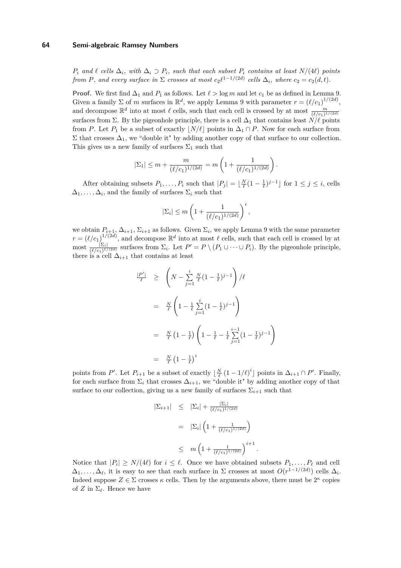*P*<sup>*i*</sup> *and*  $\ell$  *cells*  $\Delta$ *i, with*  $\Delta$ *i* ⊃ *P*<sub>*i*</sub>*, such that each subset P*<sub>*i*</sub> *contains at least N/*(4*) points from P,* and every surface in  $\Sigma$  *crosses at most*  $c_2 \ell^{1-1/(2d)}$  *cells*  $\Delta_i$ *, where*  $c_2 = c_2(d, t)$ *.* 

**Proof.** We first find  $\Delta_1$  and  $P_1$  as follows. Let  $\ell > \log m$  and let  $c_1$  be as defined in Lemma [9.](#page-4-2) Given a family  $\Sigma$  of *m* surfaces in  $\mathbb{R}^d$ , we apply Lemma [9](#page-4-2) with parameter  $r = (\ell/c_1)^{1/(2d)}$ , and decompose  $\mathbb{R}^d$  into at most  $\ell$  cells, such that each cell is crossed by at most  $\frac{m}{(\ell/c_1)^{1/(2d)}}$ surfaces from  $\Sigma$ . By the pigeonhole principle, there is a cell  $\Delta_1$  that contains least  $N/\ell$  points from *P*. Let  $P_1$  be a subset of exactly  $|N/\ell|$  points in  $\Delta_1 \cap P$ . Now for each surface from  $\Sigma$  that crosses  $\Delta_1$ , we "double it" by adding another copy of that surface to our collection. This gives us a new family of surfaces  $\Sigma_1$  such that

$$
|\Sigma_1| \le m + \frac{m}{(\ell/c_1)^{1/(2d)}} = m\left(1 + \frac{1}{(\ell/c_1)^{1/(2d)}}\right).
$$

After obtaining subsets  $P_1, \ldots, P_i$  such that  $|P_j| = \lfloor \frac{N}{\ell} (1 - \frac{1}{\ell})^{j-1} \rfloor$  for  $1 \le j \le i$ , cells  $\Delta_1, \ldots, \Delta_i$ , and the family of surfaces  $\Sigma_i$  such that

$$
|\Sigma_i| \le m \left( 1 + \frac{1}{(\ell/c_1)^{1/(2d)}} \right)^i,
$$

we obtain  $P_{i+1}, \Delta_{i+1}, \Sigma_{i+1}$  as follows. Given  $\Sigma_i$ , we apply Lemma [9](#page-4-2) with the same parameter  $r = (\ell/c_1)^{1/(2d)}$ , and decompose  $\mathbb{R}^d$  into at most  $\ell$  cells, such that each cell is crossed by at most  $\frac{\sum_i |Z_i|}{(\ell/c_1)^{1/(2d)}}$  surfaces from  $\Sigma_i$ . Let  $P' = P \setminus (P_1 \cup \cdots \cup P_i)$ . By the pigeonhole principle, there is a cell  $\Delta_{i+1}$  that contains at least

$$
\frac{|P'|}{\ell} \ge \left( N - \sum_{j=1}^{i} \frac{N}{\ell} (1 - \frac{1}{\ell})^{j-1} \right) / \ell
$$
  

$$
= \frac{N}{\ell} \left( 1 - \frac{1}{\ell} \sum_{j=1}^{i} (1 - \frac{1}{\ell})^{j-1} \right)
$$
  

$$
= \frac{N}{\ell} (1 - \frac{1}{\ell}) \left( 1 - \frac{1}{\ell} - \frac{1}{\ell} \sum_{j=1}^{i-1} (1 - \frac{1}{\ell})^{j-1} \right)
$$
  

$$
= \frac{N}{\ell} (1 - \frac{1}{\ell})^{i}
$$

 $\setminus$ 

*.*

points from *P*'. Let  $P_{i+1}$  be a subset of exactly  $\lfloor \frac{N}{\ell} (1 - 1/\ell)^i \rfloor$  points in  $\Delta_{i+1} \cap P'$ . Finally, for each surface from  $\Sigma_i$  that crosses  $\Delta_{i+1}$ , we "double it" by adding another copy of that surface to our collection, giving us a new family of surfaces  $\Sigma_{i+1}$  such that

$$
|\Sigma_{i+1}| \leq |\Sigma_i| + \frac{|\Sigma_i|}{(\ell/c_1)^{1/(2d)}}
$$
  
=  $|\Sigma_i| \left(1 + \frac{1}{(\ell/c_1)^{1/(2d)}}\right)$   
 $\leq m \left(1 + \frac{1}{(\ell/c_1)^{1/(2d)}}\right)^{i+1}$ 

Notice that  $|P_i| \ge N/(4\ell)$  for  $i \le \ell$ . Once we have obtained subsets  $P_1, \ldots, P_\ell$  and cell  $\Delta_1, \ldots, \Delta_\ell$ , it is easy to see that each surface in  $\Sigma$  crosses at most  $O(r^{1-1/(2d)})$  cells  $\Delta_i$ . Indeed suppose  $Z \in \Sigma$  crosses  $\kappa$  cells. Then by the arguments above, there must be  $2^{\kappa}$  copies of *Z* in  $\Sigma_{\ell}$ . Hence we have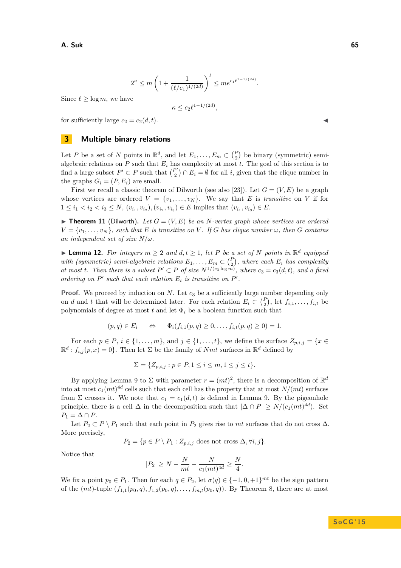$$
2^{\kappa} \le m \left( 1 + \frac{1}{(\ell/c_1)^{1/(2d)}} \right)^{\ell} \le me^{c_1 \ell^{1-1/(2d)}}.
$$

Since  $\ell \geq \log m$ , we have

$$
\kappa \le c_2 \ell^{1 - 1/(2d)},
$$

for sufficiently large  $c_2 = c_2(d, t)$ .

# <span id="page-6-0"></span>**3 Multiple binary relations**

Let *P* be a set of *N* points in  $\mathbb{R}^d$ , and let  $E_1, \ldots, E_m \subset {P \choose 2}$  be binary (symmetric) semialgebraic relations on  $P$  such that  $E_i$  has complexity at most  $t$ . The goal of this section is to find a large subset  $P' \subset P$  such that  $\binom{P'}{2}$  $\binom{P'}{2} \cap E_i = \emptyset$  for all *i*, given that the clique number in the graphs  $G_i = (P, E_i)$  are small.

First we recall a classic theorem of Dilworth (see also [\[23\]](#page-14-14)). Let  $G = (V, E)$  be a graph whose vertices are ordered  $V = \{v_1, \ldots, v_N\}$ . We say that *E* is *transitive* on *V* if for  $1 \leq i_1 < i_2 < i_3 \leq N$ ,  $(v_{i_1}, v_{i_2})$ ,  $(v_{i_2}, v_{i_3}) \in E$  implies that  $(v_{i_1}, v_{i_3}) \in E$ .

<span id="page-6-2"></span> $\blacktriangleright$  **Theorem 11** (Dilworth). Let  $G = (V, E)$  be an *N*-vertex graph whose vertices are ordered  $V = \{v_1, \ldots, v_N\}$ *, such that E is transitive on V . If G has clique number*  $\omega$ *, then G contains an independent set of size N/ω.*

<span id="page-6-1"></span>▶ **Lemma 12.** *For integers*  $m \geq 2$  *and*  $d, t \geq 1$ *, let P be a set of N points in*  $\mathbb{R}^d$  *equipped with (symmetric) semi-algebraic relations*  $E_1, \ldots, E_m \subset {P \choose 2}$ , where each  $E_i$  has complexity *at most t.* Then there is a subset  $P' \subset P$  of size  $N^{1/(c_3 \log m)}$ , where  $c_3 = c_3(d,t)$ , and a fixed *ordering on*  $P'$  *such that each relation*  $E_i$  *is transitive on*  $P'$ *.* 

**Proof.** We proceed by induction on *N*. Let  $c_3$  be a sufficiently large number depending only on *d* and *t* that will be determined later. For each relation  $E_i \subset {P \choose 2}$ , let  $f_{i,1}, \ldots, f_{i,t}$  be polynomials of degree at most  $t$  and let  $\Phi_i$  be a boolean function such that

$$
(p,q) \in E_i \qquad \Leftrightarrow \qquad \Phi_i(f_{i,1}(p,q) \ge 0, \ldots, f_{i,t}(p,q) \ge 0) = 1.
$$

For each  $p \in P$ ,  $i \in \{1, \ldots, m\}$ , and  $j \in \{1, \ldots, t\}$ , we define the surface  $Z_{p,i,j} = \{x \in$  $\mathbb{R}^d$ :  $f_{i,j}(p,x) = 0$ . Then let  $\Sigma$  be the family of *Nmt* surfaces in  $\mathbb{R}^d$  defined by

$$
\Sigma = \{ Z_{p,i,j} : p \in P, 1 \le i \le m, 1 \le j \le t \}.
$$

By applying Lemma [9](#page-4-2) to  $\Sigma$  with parameter  $r = (mt)^2$ , there is a decomposition of  $\mathbb{R}^d$ into at most  $c_1(mt)^{4d}$  cells such that each cell has the property that at most  $N/(mt)$  surfaces from  $\Sigma$  crosses it. We note that  $c_1 = c_1(d, t)$  is defined in Lemma [9.](#page-4-2) By the pigeonhole principle, there is a cell  $\Delta$  in the decomposition such that  $|\Delta \cap P| \ge N/(c_1(mt)^{4d})$ . Set  $P_1 = \Delta \cap P$ .

Let  $P_2 \subset P \setminus P_1$  such that each point in  $P_2$  gives rise to  $mt$  surfaces that do not cross  $\Delta$ . More precisely,

$$
P_2 = \{ p \in P \setminus P_1 : Z_{p,i,j} \text{ does not cross } \Delta, \forall i, j \}.
$$

Notice that

$$
|P_2| \ge N - \frac{N}{mt} - \frac{N}{c_1(mt)^{4d}} \ge \frac{N}{4}.
$$

We fix a point  $p_0 \in P_1$ . Then for each  $q \in P_2$ , let  $\sigma(q) \in \{-1, 0, +1\}^{mt}$  be the sign pattern of the  $(mt)$ -tuple  $(f_{1,1}(p_0,q), f_{1,2}(p_0,q), \ldots, f_{m,t}(p_0,q))$ . By Theorem [8,](#page-4-3) there are at most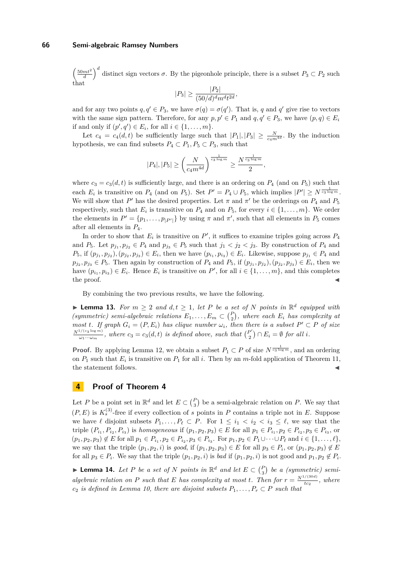$\left(\frac{50mt^2}{d}\right)^d$  distinct sign vectors  $\sigma$ . By the pigeonhole principle, there is a subset  $P_3 \subset P_2$  such that

$$
|P_3| \ge \frac{|P_2|}{(50/d)^d m^d t^{2d}},
$$

and for any two points  $q, q' \in P_3$ , we have  $\sigma(q) = \sigma(q')$ . That is, q and q' give rise to vectors with the same sign pattern. Therefore, for any  $p, p' \in P_1$  and  $q, q' \in P_3$ , we have  $(p, q) \in E_i$ if and only if  $(p', q') \in E_i$ , for all  $i \in \{1, ..., m\}$ .

Let  $c_4 = c_4(d, t)$  be sufficiently large such that  $|P_1|, |P_3| \geq \frac{N}{c_4 m^{4d}}$ . By the induction hypothesis, we can find subsets  $P_4 \subset P_1, P_5 \subset P_3$ , such that

$$
|P_4|, |P_5| \ge \left(\frac{N}{c_4 m^{4d}}\right)^{\frac{1}{c_3 \log m}} \ge \frac{N^{\frac{1}{c_3 \log m}}}{2},
$$

where  $c_3 = c_3(d, t)$  is sufficiently large, and there is an ordering on  $P_4$  (and on  $P_5$ ) such that each  $E_i$  is transitive on  $P_4$  (and on  $P_5$ ). Set  $P' = P_4 \cup P_5$ , which implies  $|P'| \ge N^{\frac{1}{c_3 \log m}}$ . We will show that  $P'$  has the desired properties. Let  $\pi$  and  $\pi'$  be the orderings on  $P_4$  and  $P_5$ respectively, such that  $E_i$  is transitive on  $P_4$  and on  $P_5$ , for every  $i \in \{1, \ldots, m\}$ . We order the elements in  $P' = \{p_1, \ldots, p_{|P'|}\}\$  by using  $\pi$  and  $\pi'$ , such that all elements in  $P_5$  comes after all elements in *P*4.

In order to show that  $E_i$  is transitive on  $P'$ , it suffices to examine triples going across  $P_4$ and  $P_5$ . Let  $p_{j_1}, p_{j_2} \in P_4$  and  $p_{j_3} \in P_5$  such that  $j_1 < j_2 < j_3$ . By construction of  $P_4$  and  $P_5$ , if  $(p_{j_1}, p_{j_2})$ ,  $(p_{j_2}, p_{j_3}) \in E_i$ , then we have  $(p_{i_1}, p_{i_3}) \in E_i$ . Likewise, suppose  $p_{j_1} \in P_4$  and  $p_{j_2}, p_{j_3} \in P_5$ . Then again by construction of  $P_4$  and  $P_5$ , if  $(p_{j_1}, p_{j_2}), (p_{j_2}, p_{j_3}) \in E_i$ , then we have  $(p_{i_1}, p_{i_3}) \in E_i$ . Hence  $E_i$  is transitive on  $P'$ , for all  $i \in \{1, \ldots, m\}$ , and this completes  $\blacksquare$  the proof.

By combining the two previous results, we have the following.

<span id="page-7-2"></span>▶ **Lemma 13.** *For*  $m \geq 2$  *and*  $d, t \geq 1$ *, let P be a set of N points in*  $\mathbb{R}^d$  *equipped with (symmetric) semi-algebraic relations*  $E_1, \ldots, E_m \subset {P \choose 2}$ *, where each*  $E_i$  *has complexity at most t.* If graph  $G_i = (P, E_i)$  *has clique number*  $\omega_i$ *, then there is a subset*  $P' \subset P$  *of size*  $\frac{N^{1/(c_3 \log m)}}{\omega_1 \cdots \omega_m}$ , where  $c_3 = c_3(d, t)$  *is defined above, such that*  $\binom{P'}{2}$  $\binom{P'}{2} \cap E_i = \emptyset$  for all *i*.

**Proof.** By applying Lemma [12,](#page-6-1) we obtain a subset  $P_1 \subset P$  of size  $N^{\frac{1}{c_3 \log m}}$ , and an ordering on  $P_1$  such that  $E_i$  is transitive on  $P_1$  for all *i*. Then by an *m*-fold application of Theorem [11,](#page-6-2) the statement follows.

# <span id="page-7-0"></span>**4 Proof of Theorem [4](#page-2-3)**

Let *P* be a point set in  $\mathbb{R}^d$  and let  $E \subset {P \choose 3}$  be a semi-algebraic relation on *P*. We say that  $(P, E)$  is  $K_s^{(3)}$ -free if every collection of *s* points in *P* contains a triple not in *E*. Suppose we have  $\ell$  disjoint subsets  $P_1, \ldots, P_\ell \subset P$ . For  $1 \leq i_1 < i_2 < i_3 \leq \ell$ , we say that the triple  $(P_{i_1}, P_{i_2}, P_{i_3})$  is homogeneous if  $(p_1, p_2, p_3) \in E$  for all  $p_1 \in P_{i_1}, p_2 \in P_{i_2}, p_3 \in P_{i_3}$ , or  $(p_1, p_2, p_3) \notin E$  for all  $p_1 \in P_{i_1}, p_2 \in P_{i_2}, p_3 \in P_{i_3}$ . For  $p_1, p_2 \in P_1 \cup \cdots \cup P_\ell$  and  $i \in \{1, \ldots, \ell\}$ , we say that the triple  $(p_1, p_2, i)$  is *good*, if  $(p_1, p_2, p_3) \in E$  for all  $p_3 \in P_i$ , or  $(p_1, p_2, p_3) \notin E$ for all  $p_3 \in P_i$ . We say that the triple  $(p_1, p_2, i)$  is *bad* if  $(p_1, p_2, i)$  is not good and  $p_1, p_2 \notin P_i$ .

<span id="page-7-1"></span>▶ **Lemma 14.** *Let P be a set of N points in*  $\mathbb{R}^d$  *and let*  $E \subset {P \choose 3}$  *be a (symmetric) semialgebraic relation on P such that E has complexity at most <i>t*. Then for  $r = \frac{N^{1/(30d)}}{tc_2}$ , where  $c_2$  *is defined in Lemma [10,](#page-4-4) there are disjoint subsets*  $P_1, \ldots, P_r \subset P$  *such that*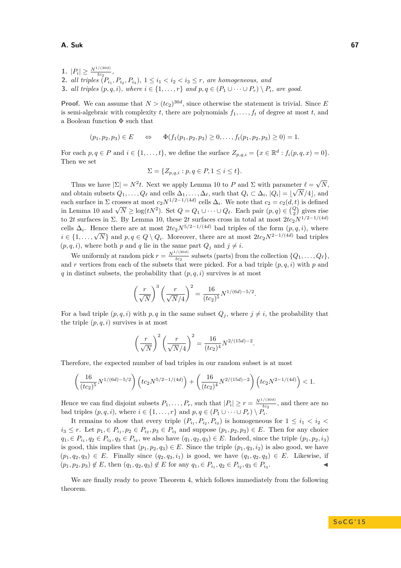### **A. Suk 67**

 $|P_i| \geq \frac{N^{1/(30d)}}{tc_2},$ **2.** *all triples*  $(P_{i_1}, P_{i_2}, P_{i_3}), 1 \leq i_1 < i_2 < i_3 \leq r$ , are homogeneous, and **3.** *all triples*  $(p, q, i)$ *, where*  $i \in \{1, \ldots, r\}$  *and*  $p, q \in (P_1 \cup \cdots \cup P_r) \setminus P_i$ *, are good.* 

**Proof.** We can assume that  $N > (tc_2)^{30d}$ , since otherwise the statement is trivial. Since *E* is semi-algebraic with complexity  $t$ , there are polynomials  $f_1, \ldots, f_t$  of degree at most  $t$ , and a Boolean function Φ such that

$$
(p_1, p_2, p_3) \in E \qquad \Leftrightarrow \qquad \Phi(f_1(p_1, p_2, p_3) \ge 0, \ldots, f_t(p_1, p_2, p_3) \ge 0) = 1.
$$

For each  $p, q \in P$  and  $i \in \{1, \ldots, t\}$ , we define the surface  $Z_{p,q,i} = \{x \in \mathbb{R}^d : f_i(p,q,x) = 0\}.$ Then we set

$$
\Sigma = \{Z_{p,q,i} : p,q \in P, 1 \le i \le t\}.
$$

Thus we have  $|\Sigma| = N^2 t$ . Next we apply Lemma [10](#page-4-4) to *P* and  $\Sigma$  with parameter  $\ell =$ √  $\det \ell = \sqrt{N},$ and obtain subsets  $Q_1, \ldots, Q_\ell$  and cells  $\Delta_1, \ldots, \Delta_\ell$ , such that  $Q_i \subset \Delta_i$ ,  $|Q_i| = \lfloor \sqrt{N/4} \rfloor$ , and each surface in  $\Sigma$  crosses at most  $c_2N^{1/2-1/(4d)}$  cells  $\Delta_i$ . We note that  $c_2 = c_2(d, t)$  is defined in Lemma [10](#page-4-4) and  $\sqrt{N} \ge \log(tN^2)$ . Set  $Q = Q_1 \cup \cdots \cup Q_\ell$ . Each pair  $(p, q) \in {Q \choose 2}$  gives rise to 2*t* surfaces in  $\Sigma$ . By Lemma [10,](#page-4-4) these 2*t* surfaces cross in total at most  $2tc_2N^{1/2-1/(4d)}$ cells  $\Delta_i$ . Hence there are at most  $2tc_2N^{5/2-1/(4d)}$  bad triples of the form  $(p, q, i)$ , where *i* ∈ {1, . . . ,  $\sqrt{N}$ } and *p, q* ∈ *Q* \ *Q<sub>i</sub>*. Moreover, there are at most 2*tc*<sub>2</sub>*N*<sup>2−1</sup>/<sup>(4*d*)</sup> bad triples *i* ∈ {1, . . . ,  $\sqrt{N}$ } and *p, q* ∈ *Q* \ *Q<sub>i</sub>*. Moreover, there are at most 2*tc*<sub>2</sub>*N*<sup>2−1/(4*</sup>*  $(p, q, i)$ , where both *p* and *q* lie in the same part  $Q_i$  and  $j \neq i$ .

We uniformly at random pick  $r = \frac{N^{1/(30d)}}{tc_2}$  subsets (parts) from the collection  $\{Q_1, \ldots, Q_\ell\}$ , and *r* vertices from each of the subsets that were picked. For a bad triple  $(p, q, i)$  with  $p$  and  $q$  in distinct subsets, the probability that  $(p, q, i)$  survives is at most

$$
\left(\frac{r}{\sqrt{N}}\right)^3 \left(\frac{r}{\sqrt{N}/4}\right)^2 = \frac{16}{(tc_2)^5} N^{1/(6d) - 5/2}.
$$

For a bad triple  $(p, q, i)$  with  $p, q$  in the same subset  $Q_i$ , where  $j \neq i$ , the probability that the triple  $(p, q, i)$  survives is at most

$$
\left(\frac{r}{\sqrt{N}}\right)^2 \left(\frac{r}{\sqrt{N}/4}\right)^2 = \frac{16}{(tc_2)^4} N^{2/(15d)-2}.
$$

Therefore, the expected number of bad triples in our random subset is at most

$$
\left(\frac{16}{(tc_2)^5}N^{1/(6d)-5/2}\right)\left(t c_2 N^{5/2-1/(4d)}\right) + \left(\frac{16}{(tc_2)^4}N^{2/(15d)-2}\right)\left(t c_2 N^{2-1/(4d)}\right) < 1.
$$

Hence we can find disjoint subsets  $P_1, \ldots, P_r$ , such that  $|P_i| \ge r = \frac{N^{1/(30d)}}{tc_2}$ , and there are no bad triples  $(p, q, i)$ , where  $i \in \{1, \ldots, r\}$  and  $p, q \in (P_1 \cup \cdots \cup P_r) \setminus P_i$ .

It remains to show that every triple  $(P_{i_1}, P_{i_2}, P_{i_3})$  is homogeneous for  $1 \leq i_1 < i_2$  $i_3 \leq r$ . Let  $p_1 \in P_{i_1}, p_2 \in P_{i_2}, p_3 \in P_{i_3}$  and suppose  $(p_1, p_2, p_3) \in E$ . Then for any choice  $q_1, \in P_{i_1}, q_2 \in P_{i_2}, q_3 \in P_{i_3}$ , we also have  $(q_1, q_2, q_3) \in E$ . Indeed, since the triple  $(p_1, p_2, i_3)$ is good, this implies that  $(p_1, p_2, q_3) \in E$ . Since the triple  $(p_1, q_3, i_2)$  is also good, we have  $(p_1, q_2, q_3) \in E$ . Finally since  $(q_2, q_3, i_1)$  is good, we have  $(q_1, q_2, q_3) \in E$ . Likewise, if  $(p_1, p_2, p_3) \notin E$ , then  $(q_1, q_2, q_3) \notin E$  for any  $q_1 \in P_{i_1}, q_2 \in P_{i_2}, q_3 \in P_{i_3}$  $\mathcal{L}$   $\mathcal{L}$   $\mathcal{L}$   $\mathcal{L}$   $\mathcal{L}$ 

We are finally ready to prove Theorem [4,](#page-2-3) which follows immediately from the following theorem.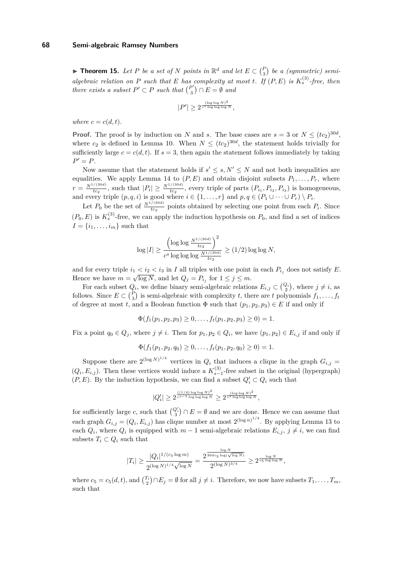▶ **Theorem 15.** *Let P be a set of N points in*  $\mathbb{R}^d$  *and let*  $E \subset {P \choose 3}$  *be a (symmetric) semialgebraic relation on P such that E has complexity at most <i>t*. If  $(P, E)$  *is*  $K_s^{(3)}$ -free, then *there exists a subset*  $P' \subset P$  *such that*  $\binom{P'}{3}$  $\binom{P'}{3} \cap E = \emptyset$  and

$$
|P'| \ge 2^{\frac{(\log\log N)^2}{c^s \log\log\log N}},
$$

*where*  $c = c(d, t)$ *.* 

**Proof.** The proof is by induction on *N* and *s*. The base cases are  $s = 3$  or  $N \leq (tc_2)^{30d}$ , where  $c_2$  is defined in Lemma [10.](#page-4-4) When  $N \leq (tc_2)^{30d}$ , the statement holds trivially for sufficiently large  $c = c(d, t)$ . If  $s = 3$ , then again the statement follows immediately by taking  $P' = P$ .

Now assume that the statement holds if  $s' \leq s, N' \leq N$  and not both inequalities are equalities. We apply Lemma [14](#page-7-1) to  $(P, E)$  and obtain disjoint subsets  $P_1, \ldots, P_r$ , where  $r = \frac{N^{1/(30d)}}{tc_2}$ , such that  $|P_i| \ge \frac{N^{1/(30d)}}{tc_2}$ , every triple of parts  $(P_{i_1}, P_{i_2}, P_{i_3})$  is homogeneous, and every triple  $(p, q, i)$  is good where  $i \in \{1, \ldots, r\}$  and  $p, q \in (P_1 \cup \cdots \cup P_r) \setminus P_i$ .

Let  $P_0$  be the set of  $\frac{N^{1/(30d)}}{tc_2}$  points obtained by selecting one point from each  $P_i$ . Since  $(P_0, E)$  is  $K_s^{(3)}$ -free, we can apply the induction hypothesis on  $P_0$ , and find a set of indices  $I = \{i_1, \ldots, i_m\}$  such that

$$
\log|I| \ge \frac{\left(\log\log\frac{N^{1/(30d)}}{tc_2}\right)^2}{c^s\log\log\log\frac{N^{1/(30d)}}{tc_2}} \ge (1/2)\log\log N,
$$

and for every triple  $i_1 < i_2 < i_3$  in *I* all triples with one point in each  $P_{i_j}$  does not satisfy *E*. Hence we have  $m = \sqrt{\log N}$ , and let  $Q_j = P_{i_j}$  for  $1 \leq j \leq m$ .

For each subset  $Q_i$ , we define binary semi-algebraic relations  $E_{i,j} \subset \binom{Q_i}{2}$ , where  $j \neq i$ , as follows. Since  $E \subset {P \choose 3}$  is semi-algebraic with complexity *t*, there are *t* polynomials  $f_1, \ldots, f_t$ of degree at most *t*, and a Boolean function  $\Phi$  such that  $(p_1, p_2, p_3) \in E$  if and only if

$$
\Phi(f_1(p_1, p_2, p_3) \ge 0, \ldots, f_t(p_1, p_2, p_3) \ge 0) = 1.
$$

Fix a point  $q_0 \in Q_j$ , where  $j \neq i$ . Then for  $p_1, p_2 \in Q_i$ , we have  $(p_1, p_2) \in E_{i,j}$  if and only if

$$
\Phi(f_1(p_1, p_2, q_0) \ge 0, \ldots, f_t(p_1, p_2, q_0) \ge 0) = 1.
$$

Suppose there are  $2^{(\log N)^{1/4}}$  vertices in  $Q_i$  that induces a clique in the graph  $G_{i,j}$  =  $(Q_i, E_{i,j})$ . Then these vertices would induce a  $K_{s-1}^{(3)}$ -free subset in the original (hypergraph) (*P, E*). By the induction hypothesis, we can find a subset  $Q_i' \subset Q_i$  such that

$$
|Q_i'| \geq 2^{\frac{((1/4)\log\log N)^2}{c^{s-1}\log\log\log N}} \geq 2^{\frac{(\log\log N)^2}{c^s\log\log\log N}},
$$

for sufficiently large *c*, such that  $\binom{Q_i'}{3} \cap E = \emptyset$  and we are done. Hence we can assume that each graph  $G_{i,j} = (Q_i, E_{i,j})$  has clique number at most  $2^{(\log n)^{1/4}}$ . By applying Lemma [13](#page-7-2) to each  $Q_i$ , where  $Q_i$  is equipped with  $m-1$  semi-algebraic relations  $E_{i,j}$ ,  $j \neq i$ , we can find subsets  $T_i \subset Q_i$  such that

$$
|T_i| \ge \frac{|Q_i|^{1/(c_3 \log m)}}{2^{(\log N)^{1/4}\sqrt{\log N}}} = \frac{2^{\frac{\log N}{30dc_3 \log(\sqrt{\log N})}}}{2^{(\log N)^{3/4}}} \ge 2^{\frac{\log N}{c_5 \log \log N}},
$$

where  $c_5 = c_5(d, t)$ , and  $\binom{T_i}{2} \cap E_j = \emptyset$  for all  $j \neq i$ . Therefore, we now have subsets  $T_1, \ldots, T_m$ , such that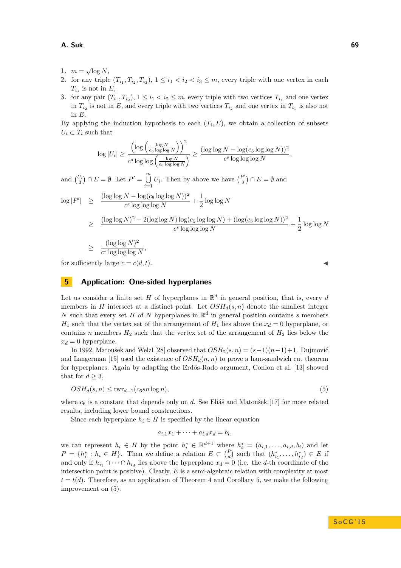### **A. Suk 69**

- 1.  $m = \sqrt{\log N}$ ,
- **2.** for any triple  $(T_{i_1}, T_{i_2}, T_{i_3})$ ,  $1 \leq i_1 < i_2 < i_3 \leq m$ , every triple with one vertex in each  $T_{i_j}$  is not in  $E$ ,
- **3.** for any pair  $(T_{i_1}, T_{i_2}), 1 \leq i_1 < i_2 \leq m$ , every triple with two vertices  $T_{i_1}$  and one vertex in  $T_{i_2}$  is not in *E*, and every triple with two vertices  $T_{i_2}$  and one vertex in  $T_{i_1}$  is also not in *E*.

By applying the induction hypothesis to each  $(T_i, E)$ , we obtain a collection of subsets  $U_i \subset T_i$  such that

$$
\log|U_i| \geq \frac{\left(\log\left(\frac{\log N}{c_5\log\log N}\right)\right)^2}{c^s\log\log\left(\frac{\log N}{c_5\log\log N}\right)} \geq \frac{(\log\log N - \log(c_5\log\log N))^2}{c^s\log\log\log N},
$$

and  $\binom{U_i}{3} \cap E = \emptyset$ . Let  $P' = \bigcup_{i=1}^{m}$  $\bigcup_{i=1}^{m} U_i$ . Then by above we have  $\binom{P'}{3}$  $\binom{P'}{3} \cap E = \emptyset$  and

$$
\begin{array}{rcl}\n\log|P'| & \geq & \frac{(\log\log N - \log(c_5\log\log N))^2}{c^s\log\log\log N} + \frac{1}{2}\log\log N \\
& \geq & \frac{(\log\log N)^2 - 2(\log\log N)\log(c_5\log\log N) + (\log(c_5\log\log N))^2}{c^s\log\log\log N} + \frac{1}{2}\log\log N \\
& \geq & \frac{(\log\log N)^2}{c^s\log\log\log N},\n\end{array}
$$

for sufficiently large  $c = c(d, t)$ .

## <span id="page-10-0"></span>**5 Application: One-sided hyperplanes**

Let us consider a finite set *H* of hyperplanes in  $\mathbb{R}^d$  in general position, that is, every *d* members in *H* intersect at a distinct point. Let  $OSH_d(s, n)$  denote the smallest integer *N* such that every set *H* of *N* hyperplanes in  $\mathbb{R}^d$  in general position contains *s* members  $H_1$  such that the vertex set of the arrangement of  $H_1$  lies above the  $x_d = 0$  hyperplane, or contains *n* members  $H_2$  such that the vertex set of the arrangement of  $H_2$  lies below the  $x_d = 0$  hyperplane.

In 1992, Matoušek and Welzl [\[28\]](#page-14-15) observed that *OSH*2(*s, n*) = (*s*−1)(*n*−1)+1. Dujmović and Langerman [\[15\]](#page-13-16) used the existence of  $OSH_d(n, n)$  to prove a ham-sandwich cut theorem for hyperplanes. Again by adapting the Erdős-Rado argument, Conlon et al. [\[13\]](#page-13-8) showed that for  $d \geq 3$ ,

<span id="page-10-1"></span>
$$
OSH_d(s, n) \leq \text{twr}_{d-1}(c_6 sn \log n),\tag{5}
$$

where  $c_6$  is a constant that depends only on *d*. See Eliáš and Matoušek [\[17\]](#page-13-7) for more related results, including lower bound constructions.

Since each hyperplane  $h_i \in H$  is specified by the linear equation

$$
a_{i,1}x_1 + \cdots + a_{i,d}x_d = b_i,
$$

we can represent  $h_i \in H$  by the point  $h_i^* \in \mathbb{R}^{d+1}$  where  $h_i^* = (a_{i,1}, \ldots, a_{i,d}, b_i)$  and let  $P = \{h_i^* : h_i \in H\}$ . Then we define a relation  $E \subset {P \choose d}$  such that  $(h_{i_1}^*, \ldots, h_{i_d}^*) \in E$  if and only if  $h_{i_1} \cap \cdots \cap h_{i_d}$  lies above the hyperplane  $x_d = 0$  (i.e. the *d*-th coordinate of the intersection point is positive). Clearly, *E* is a semi-algebraic relation with complexity at most  $t = t(d)$ . Therefore, as an application of Theorem [4](#page-2-3) and Corollary [5,](#page-3-0) we make the following improvement on [\(5\)](#page-10-1).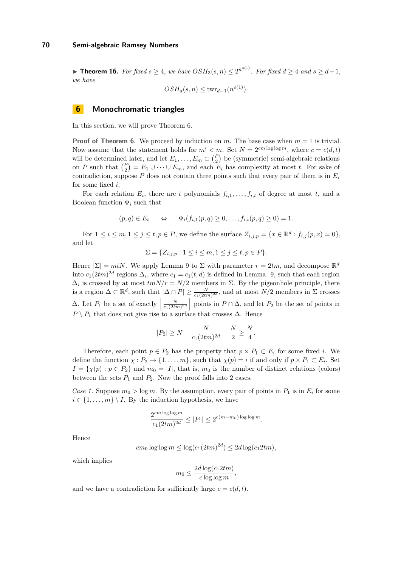▶ **Theorem 16.** For fixed  $s \geq 4$ , we have  $OSH_3(s, n) \leq 2^{n^o(1)}$ . For fixed  $d \geq 4$  and  $s \geq d+1$ , *we have*

$$
OSH_d(s, n) \leq \text{twr}_{d-1}(n^{o(1)}).
$$

## <span id="page-11-0"></span>**6 Monochromatic triangles**

In this section, we will prove Theorem [6.](#page-3-1)

**Proof of Theorem [6.](#page-3-1)** We proceed by induction on *m*. The base case when  $m = 1$  is trivial. Now assume that the statement holds for  $m' < m$ . Set  $N = 2^{cm \log \log m}$ , where  $c = c(d, t)$ will be determined later, and let  $E_1, \ldots, E_m \subset {P \choose 2}$  be (symmetric) semi-algebraic relations on *P* such that  ${P \choose 2} = E_1 \cup \cdots \cup E_m$ , and each  $E_i$  has complexity at most *t*. For sake of contradiction, suppose  $P$  does not contain three points such that every pair of them is in  $E_i$ for some fixed *i*.

For each relation  $E_i$ , there are *t* polynomials  $f_{i,1}, \ldots, f_{i,t}$  of degree at most *t*, and a Boolean function  $\Phi_i$  such that

$$
(p,q) \in E_i \qquad \Leftrightarrow \qquad \Phi_i(f_{i,1}(p,q) \ge 0, \ldots, f_{i,t}(p,q) \ge 0) = 1.
$$

For  $1 \le i \le m, 1 \le j \le t, p \in P$ , we define the surface  $Z_{i,j,p} = \{x \in \mathbb{R}^d : f_{i,j}(p,x) = 0\}$ , and let

$$
\Sigma = \{ Z_{i,j,p} : 1 \le i \le m, 1 \le j \le t, p \in P \}.
$$

Hence  $|\Sigma| = mtN$ . We apply Lemma [9](#page-4-2) to  $\Sigma$  with parameter  $r = 2tm$ , and decompose  $\mathbb{R}^d$ into  $c_1(2tm)^{2d}$  regions  $\Delta_i$ , where  $c_1 = c_1(t, d)$  is defined in Lemma [9,](#page-4-2) such that each region  $\Delta_i$  is crossed by at most  $tmN/r = N/2$  members in  $\Sigma$ . By the pigeonhole principle, there is a region  $\Delta \subset \mathbb{R}^d$ , such that  $|\Delta \cap P| \ge \frac{N}{c_1(2tm)^{2d}}$ , and at most  $N/2$  members in  $\Sigma$  crosses  $\Delta$ . Let  $P_1$  be a set of exactly  $\left| \frac{N}{c_1(2tm)^{2d}} \right|$  points in  $P \cap \Delta$ , and let  $P_2$  be the set of points in  $P \setminus P_1$  that does not give rise to a surface that crosses  $\Delta$ . Hence

$$
|P_2| \ge N - \frac{N}{c_1(2tm)^{2d}} - \frac{N}{2} \ge \frac{N}{4}.
$$

Therefore, each point  $p \in P_2$  has the property that  $p \times P_1 \subset E_i$  for some fixed *i*. We define the function  $\chi : P_2 \to \{1, \ldots, m\}$ , such that  $\chi(p) = i$  if and only if  $p \times P_1 \subset E_i$ . Set  $I = \{\chi(p) : p \in P_2\}$  and  $m_0 = |I|$ , that is,  $m_0$  is the number of distinct relations (colors) between the sets  $P_1$  and  $P_2$ . Now the proof falls into 2 cases.

*Case 1.* Suppose  $m_0 > \log m$ . By the assumption, every pair of points in  $P_1$  is in  $E_i$  for some  $i \in \{1, \ldots, m\} \setminus I$ . By the induction hypothesis, we have

$$
\frac{2^{cm \log \log m}}{c_1 (2tm)^{2d}} \le |P_1| \le 2^{c(m-m_0) \log \log m}.
$$

Hence

$$
cm_0 \log \log m \le \log(c_1(2tm)^{2d}) \le 2d \log(c_1 2tm),
$$

which implies

$$
m_0 \le \frac{2d \log(c_1 2tm)}{c \log \log m},
$$

and we have a contradiction for sufficiently large  $c = c(d, t)$ .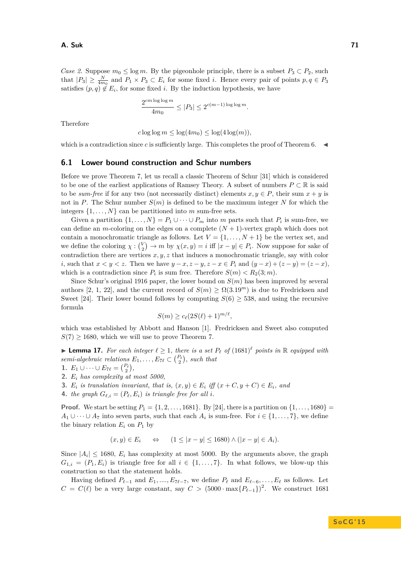*Case 2.* Suppose  $m_0 \leq \log m$ . By the pigeonhole principle, there is a subset  $P_3 \subset P_2$ , such that  $|P_3| \geq \frac{N}{4m_0}$  and  $P_1 \times P_3 \subset E_i$  for some fixed *i*. Hence every pair of points  $p, q \in P_3$ satisfies  $(p, q) \notin E_i$ , for some fixed *i*. By the induction hypothesis, we have

$$
\frac{2^{cm \log \log m}}{4m_0} \le |P_3| \le 2^{c(m-1) \log \log m}.
$$

Therefore

 $c \log \log m \leq \log(4m_0) \leq \log(4 \log(m)),$ 

which is a contradiction since  $c$  is sufficiently large. This completes the proof of Theorem [6.](#page-3-1)  $\blacktriangleleft$ 

#### <span id="page-12-0"></span>**6.1 Lower bound construction and Schur numbers**

Before we prove Theorem [7,](#page-3-2) let us recall a classic Theorem of Schur [\[31\]](#page-14-7) which is considered to be one of the earliest applications of Ramsey Theory. A subset of numbers  $P \subset \mathbb{R}$  is said to be *sum-free* if for any two (not necessarily distinct) elements  $x, y \in P$ , their sum  $x + y$  is not in *P*. The Schur number  $S(m)$  is defined to be the maximum integer *N* for which the integers  $\{1, \ldots, N\}$  can be partitioned into *m* sum-free sets.

Given a partition  $\{1, \ldots, N\} = P_1 \cup \cdots \cup P_m$  into *m* parts such that  $P_i$  is sum-free, we can define an *m*-coloring on the edges on a complete  $(N + 1)$ -vertex graph which does not contain a monochromatic triangle as follows. Let  $V = \{1, \ldots, N+1\}$  be the vertex set, and we define the coloring  $\chi : \binom{V}{2} \to m$  by  $\chi(x, y) = i$  iff  $|x - y| \in P_i$ . Now suppose for sake of contradiction there are vertices *x, y, z* that induces a monochromatic triangle, say with color *i*, such that  $x < y < z$ . Then we have  $y - x, z - y, z - x \in P_i$  and  $(y - x) + (z - y) = (z - x)$ , which is a contradiction since  $P_i$  is sum free. Therefore  $S(m) < R_2(3; m)$ .

Since Schur's original 1916 paper, the lower bound on *S*(*m*) has been improved by several authors [\[2,](#page-13-17) [1,](#page-13-18) [22\]](#page-14-16), and the current record of  $S(m) \geq \Omega(3.19^m)$  is due to Fredricksen and Sweet [\[24\]](#page-14-8). Their lower bound follows by computing  $S(6) \geq 538$ , and using the recursive formula

$$
S(m) \ge c_{\ell}(2S(\ell) + 1)^{m/\ell},
$$

which was established by Abbott and Hanson [\[1\]](#page-13-18). Fredricksen and Sweet also computed  $S(7) \geq 1680$ , which we will use to prove Theorem [7.](#page-3-2)

<span id="page-12-1"></span>▶ **Lemma 17.** *For each integer*  $\ell \geq 1$ *, there is a set*  $P_{\ell}$  *of* (1681)<sup> $\ell$ </sup> *points in* R *equipped with semi-algebraic relations*  $E_1, \ldots, E_{7\ell} \subset {P_{\ell} \choose 2}$ , such that

- 1.  $E_1 \cup \cdots \cup E_{7\ell} = \binom{P_{\ell}}{2},$
- **2.** *E<sup>i</sup> has complexity at most 5000,*
- **3.**  $E_i$  is translation invariant, that is,  $(x, y) \in E_i$  iff  $(x + C, y + C) \in E_i$ , and
- **4.** *the graph*  $G_{\ell,i} = (P_{\ell}, E_i)$  *is triangle free for all i.*

**Proof.** We start be setting  $P_1 = \{1, 2, ..., 1681\}$ . By [\[24\]](#page-14-8), there is a partition on  $\{1, ..., 1680\}$ *A*<sub>1</sub> ∪ · · · ∪ *A*<sub>7</sub> into seven parts, such that each *A*<sup>*i*</sup> is sum-free. For  $i \in \{1, ..., 7\}$ , we define the binary relation  $E_i$  on  $P_1$  by

$$
(x, y) \in E_i \qquad \Leftrightarrow \qquad (1 \le |x - y| \le 1680) \wedge (|x - y| \in A_i).
$$

Since  $|A_i| \leq 1680$ ,  $E_i$  has complexity at most 5000. By the arguments above, the graph  $G_{1,i} = (P_1, E_i)$  is triangle free for all  $i \in \{1, \ldots, 7\}$ . In what follows, we blow-up this construction so that the statement holds.

Having defined  $P_{\ell-1}$  and  $E_1, \ldots, E_{7\ell-7}$ , we define  $P_{\ell}$  and  $E_{\ell-6}, \ldots, E_{\ell}$  as follows. Let  $C = C(\ell)$  be a very large constant, say  $C > (5000 \cdot \max\{P_{\ell-1}\})^2$ . We construct 1681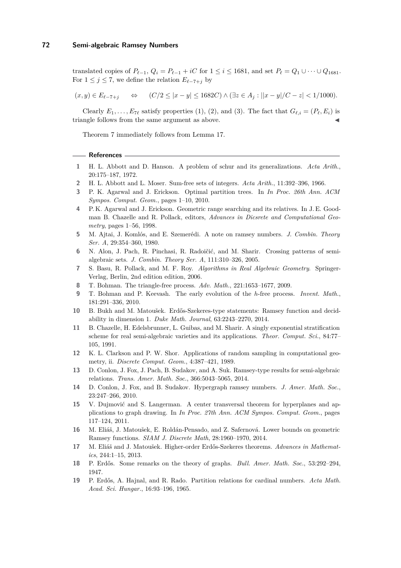translated copies of  $P_{\ell-1}$ ,  $Q_i = P_{\ell-1} + iC$  for  $1 \leq i \leq 1681$ , and set  $P_{\ell} = Q_1 \cup \cdots \cup Q_{1681}$ . For  $1 \leq j \leq 7$ , we define the relation  $E_{\ell-7+j}$  by

 $(x, y) \in E_{\ell-7+i}$   $\Leftrightarrow$   $(C/2 \le |x-y| \le 1682C) \wedge (\exists z \in A_i : ||x-y|/C - z| < 1/1000).$ 

Clearly  $E_1, \ldots, E_{7\ell}$  satisfy properties (1), (2), and (3). The fact that  $G_{\ell,i} = (P_{\ell}, E_i)$  is triangle follows from the same argument as above.

Theorem [7](#page-3-2) immediately follows from Lemma [17.](#page-12-1)

#### **References**

- <span id="page-13-18"></span>**1** H. L. Abbott and D. Hanson. A problem of schur and its generalizations. *Acta Arith.*, 20:175–187, 1972.
- <span id="page-13-17"></span>**2** H. L. Abbott and L. Moser. Sum-free sets of integers. *Acta Arith.*, 11:392–396, 1966.
- <span id="page-13-15"></span>**3** P. K. Agarwal and J. Erickson. Optimal partition trees. In *In Proc. 26th Ann. ACM Sympos. Comput. Geom.*, pages 1–10, 2010.
- <span id="page-13-13"></span>**4** P. K. Agarwal and J. Erickson. Geometric range searching and its relatives. In J. E. Goodman B. Chazelle and R. Pollack, editors, *Advances in Dicsrete and Computational Geometry*, pages 1–56, 1998.
- <span id="page-13-2"></span>**5** M. Ajtai, J. Komlós, and E. Szemerédi. A note on ramsey numbers. *J. Combin. Theory Ser. A*, 29:354–360, 1980.
- <span id="page-13-9"></span>**6** N. Alon, J. Pach, R. Pinchasi, R. Radoičić, and M. Sharir. Crossing patterns of semialgebraic sets. *J. Combin. Theory Ser. A*, 111:310–326, 2005.
- <span id="page-13-11"></span>**7** S. Basu, R. Pollack, and M. F. Roy. *Algorithms in Real Algebraic Geometry*. Springer-Verlag, Berlin, 2nd edition edition, 2006.
- <span id="page-13-3"></span>**8** T. Bohman. The triangle-free process. *Adv. Math.*, 221:1653–1677, 2009.
- <span id="page-13-4"></span>**9** T. Bohman and P. Keevash. The early evolution of the *h*-free process. *Invent. Math.*, 181:291–336, 2010.
- <span id="page-13-6"></span>**10** B. Bukh and M. Matoušek. Erdős-Szekeres-type statements: Ramsey function and decidability in dimension 1. *Duke Math. Journal*, 63:2243–2270, 2014.
- <span id="page-13-12"></span>**11** B. Chazelle, H. Edelsbrunner, L. Guibas, and M. Sharir. A singly exponential stratification scheme for real semi-algebraic varieties and its applications. *Theor. Comput. Sci.*, 84:77– 105, 1991.
- <span id="page-13-14"></span>**12** K. L. Clarkson and P. W. Shor. Applications of random sampling in computational geometry, ii. *Discrete Comput. Geom.*, 4:387–421, 1989.
- <span id="page-13-8"></span>**13** D. Conlon, J. Fox, J. Pach, B. Sudakov, and A. Suk. Ramsey-type results for semi-algebraic relations. *Trans. Amer. Math. Soc.*, 366:5043–5065, 2014.
- <span id="page-13-5"></span>**14** D. Conlon, J. Fox, and B. Sudakov. Hypergraph ramsey numbers. *J. Amer. Math. Soc.*, 23:247–266, 2010.
- <span id="page-13-16"></span>**15** V. Dujmović and S. Langerman. A center transversal theorem for hyperplanes and applications to graph drawing. In *In Proc. 27th Ann. ACM Sympos. Comput. Geom.*, pages 117–124, 2011.
- <span id="page-13-10"></span>**16** M. Eliáš, J. Matoušek, E. Roldán-Pensado, and Z. Safernová. Lower bounds on geometric Ramsey functions. *SIAM J. Discrete Math*, 28:1960–1970, 2014.
- <span id="page-13-7"></span>**17** M. Eliáš and J. Matoušek. Higher-order Erdős-Szekeres theorems. *Advances in Mathematics*, 244:1–15, 2013.
- <span id="page-13-0"></span>**18** P. Erdős. Some remarks on the theory of graphs. *Bull. Amer. Math. Soc.*, 53:292–294, 1947.
- <span id="page-13-1"></span>**19** P. Erdős, A. Hajnal, and R. Rado. Partition relations for cardinal numbers. *Acta Math. Acad. Sci. Hungar.*, 16:93–196, 1965.